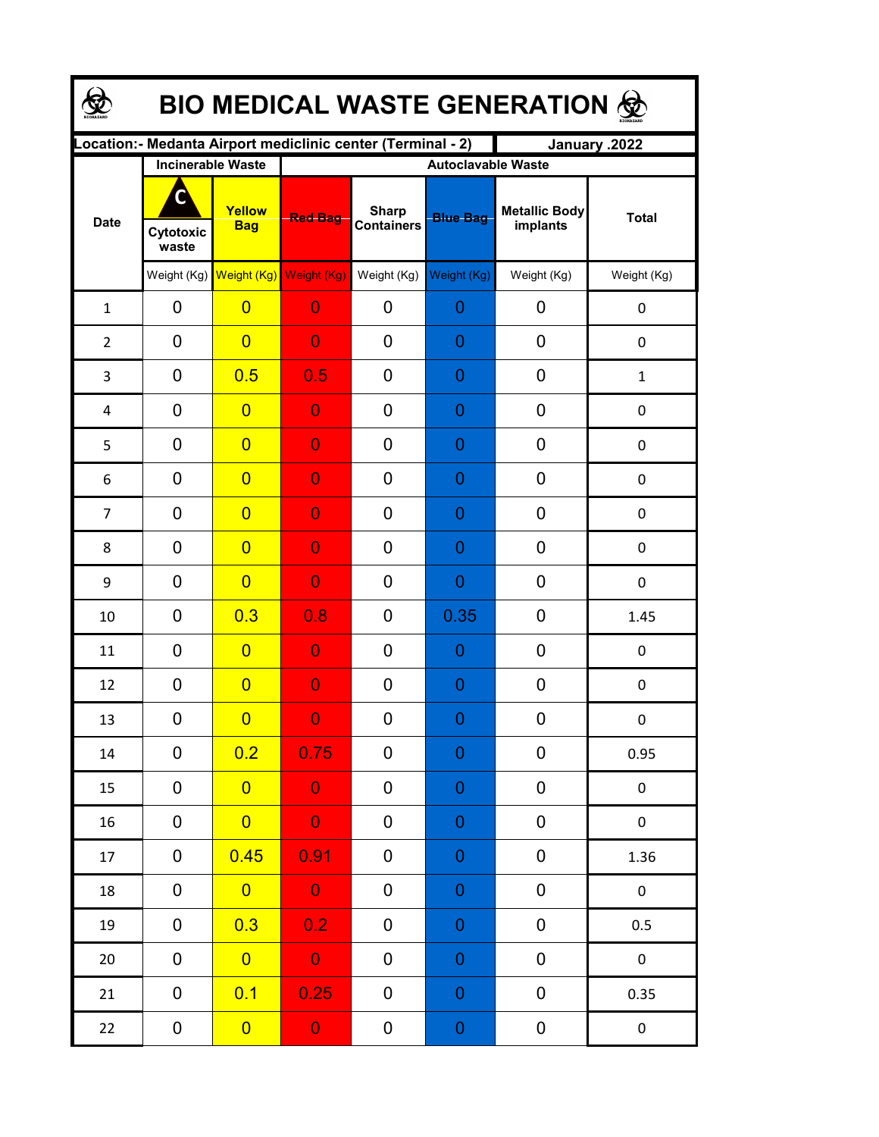| <b>BIO MEDICAL WASTE GENERATION ®</b> |                                                     |                                     |                                                                               |                                   |                                              |                                  |                  |  |  |  |
|---------------------------------------|-----------------------------------------------------|-------------------------------------|-------------------------------------------------------------------------------|-----------------------------------|----------------------------------------------|----------------------------------|------------------|--|--|--|
|                                       |                                                     |                                     | Location: - Medanta Airport mediclinic center (Terminal - 2)<br>January .2022 |                                   |                                              |                                  |                  |  |  |  |
| <b>Date</b>                           | <b>Incinerable Waste</b><br>C<br>Cytotoxic<br>waste | Yellow<br><b>Bag</b>                | <b>Red Bag</b>                                                                | <b>Sharp</b><br><b>Containers</b> | <b>Autoclavable Waste</b><br><b>Blue Bag</b> | <b>Metallic Body</b><br>implants | <b>Total</b>     |  |  |  |
|                                       |                                                     | Weight (Kg) Weight (Kg) Weight (Kg) |                                                                               | Weight (Kg)                       | Weight (Kg)                                  | Weight (Kg)                      | Weight (Kg)      |  |  |  |
| $\mathbf{1}$                          | 0                                                   | $\overline{0}$                      | $\overline{0}$                                                                | 0                                 | $\overline{0}$                               | 0                                | 0                |  |  |  |
| $\overline{2}$                        | $\overline{0}$                                      | $\overline{0}$                      | $\overline{0}$                                                                | 0                                 | $\overline{0}$                               | 0                                | $\mathbf 0$      |  |  |  |
| 3                                     | $\mathbf 0$                                         | 0.5                                 | 0.5                                                                           | 0                                 | $\overline{0}$                               | 0                                | $\mathbf{1}$     |  |  |  |
| $\overline{4}$                        | $\overline{0}$                                      | $\overline{0}$                      | $\overline{0}$                                                                | 0                                 | $\overline{0}$                               | 0                                | $\boldsymbol{0}$ |  |  |  |
| 5                                     | $\mathbf 0$                                         | $\overline{0}$                      | $\overline{0}$                                                                | 0                                 | $\overline{0}$                               | 0                                | $\boldsymbol{0}$ |  |  |  |
| 6                                     | $\mathbf 0$                                         | $\overline{0}$                      | $\overline{0}$                                                                | 0                                 | $\overline{0}$                               | 0                                | $\mathbf 0$      |  |  |  |
| $\overline{7}$                        | $\mathbf 0$                                         | $\overline{0}$                      | $\overline{0}$                                                                | 0                                 | $\overline{0}$                               | 0                                | $\mathbf 0$      |  |  |  |
| 8                                     | $\mathbf 0$                                         | $\overline{0}$                      | $\overline{0}$                                                                | 0                                 | $\overline{0}$                               | 0                                | $\mathbf 0$      |  |  |  |
| 9                                     | $\mathbf 0$                                         | $\overline{0}$                      | $\overline{0}$                                                                | 0                                 | $\overline{0}$                               | 0                                | $\pmb{0}$        |  |  |  |
| 10                                    | $\mathbf 0$                                         | 0.3                                 | 0.8                                                                           | 0                                 | 0.35                                         | 0                                | 1.45             |  |  |  |
| 11                                    | 0                                                   | $\overline{0}$                      | $\overline{0}$                                                                | 0                                 | 0                                            | 0                                | 0                |  |  |  |
| 12                                    | 0                                                   | $\overline{0}$                      | $\overline{0}$                                                                | 0                                 | $\overline{0}$                               | 0                                | $\boldsymbol{0}$ |  |  |  |
| 13                                    | 0                                                   | $\overline{0}$                      | $\mathbf{0}$                                                                  | 0                                 | $\Omega$                                     | 0                                | 0                |  |  |  |
| 14                                    | 0                                                   | 0.2                                 | 0.75                                                                          | 0                                 | $\boldsymbol{0}$                             | 0                                | 0.95             |  |  |  |
| 15                                    | 0                                                   | $\overline{0}$                      | $\bullet$                                                                     | 0                                 | 0                                            | 0                                | $\pmb{0}$        |  |  |  |
| 16                                    | 0                                                   | $\overline{0}$                      | $\mathbf 0$                                                                   | 0                                 | $\boldsymbol{0}$                             | $\pmb{0}$                        | $\pmb{0}$        |  |  |  |
| 17                                    | $\pmb{0}$                                           | 0.45                                | 0.91                                                                          | 0                                 | $\boldsymbol{0}$                             | $\pmb{0}$                        | 1.36             |  |  |  |
| 18                                    | $\mathbf 0$                                         | $\overline{\mathbf{0}}$             | $\bullet$                                                                     | 0                                 | $\boldsymbol{0}$                             | $\pmb{0}$                        | $\pmb{0}$        |  |  |  |
| 19                                    | $\mathbf 0$                                         | 0.3                                 | 0.2                                                                           | 0                                 | $\boldsymbol{0}$                             | 0                                | 0.5              |  |  |  |
| 20                                    | 0                                                   | $\overline{0}$                      | $\overline{\mathbf{0}}$                                                       | 0                                 | $\boldsymbol{0}$                             | 0                                | $\pmb{0}$        |  |  |  |
| 21                                    | $\pmb{0}$                                           | 0.1                                 | 0.25                                                                          | 0                                 | $\boldsymbol{0}$                             | $\pmb{0}$                        | 0.35             |  |  |  |
| 22                                    | $\pmb{0}$                                           | $\overline{0}$                      | $\overline{0}$                                                                | 0                                 | $\boldsymbol{0}$                             | 0                                | $\pmb{0}$        |  |  |  |